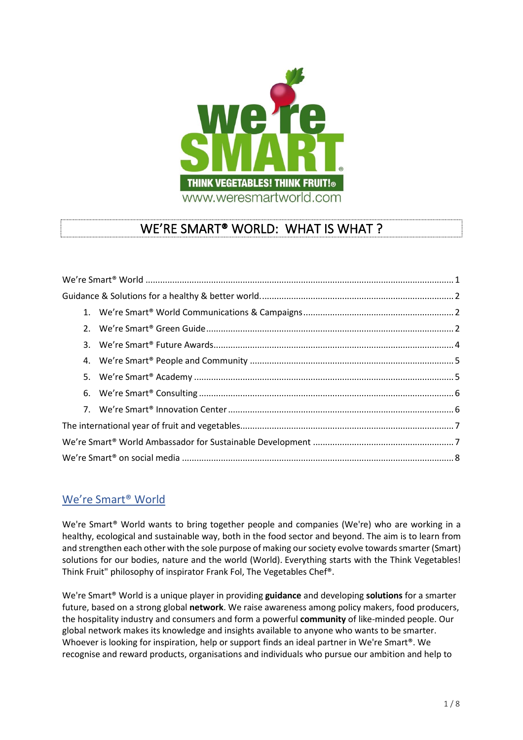

# WE'RE SMART® WORLD: WHAT IS WHAT ?

# We're Smart® World

We're Smart<sup>®</sup> World wants to bring together people and companies (We're) who are working in a healthy, ecological and sustainable way, both in the food sector and beyond. The aim is to learn from and strengthen each other with the sole purpose of making our society evolve towards smarter (Smart) solutions for our bodies, nature and the world (World). Everything starts with the Think Vegetables! Think Fruit" philosophy of inspirator Frank Fol, The Vegetables Chef®.

We're Smart® World is a unique player in providing **guidance** and developing **solutions** for a smarter future, based on a strong global **network**. We raise awareness among policy makers, food producers, the hospitality industry and consumers and form a powerful **community** of like-minded people. Our global network makes its knowledge and insights available to anyone who wants to be smarter. Whoever is looking for inspiration, help or support finds an ideal partner in We're Smart®. We recognise and reward products, organisations and individuals who pursue our ambition and help to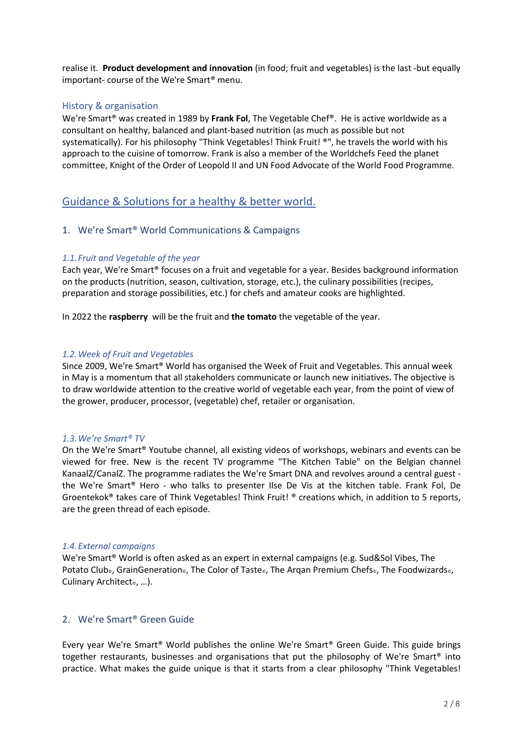realise it. **Product development and innovation** (in food; fruit and vegetables) is the last -but equally important- course of the We're Smart® menu.

# History & organisation

We're Smart® was created in 1989 by **Frank Fol**, The Vegetable Chef®. He is active worldwide as a consultant on healthy, balanced and plant-based nutrition (as much as possible but not systematically). For his philosophy "Think Vegetables! Think Fruit! ®", he travels the world with his approach to the cuisine of tomorrow. Frank is also a member of the Worldchefs Feed the planet committee, Knight of the Order of Leopold II and UN Food Advocate of the World Food Programme.

# Guidance & Solutions for a healthy & better world.

# 1. We're Smart® World Communications & Campaigns

# *1.1.Fruit and Vegetable of the year*

Each year, We're Smart® focuses on a fruit and vegetable for a year. Besides background information on the products (nutrition, season, cultivation, storage, etc.), the culinary possibilities (recipes, preparation and storage possibilities, etc.) for chefs and amateur cooks are highlighted.

In 2022 the **raspberry** will be the fruit and **the tomato** the vegetable of the year.

## *1.2.Week of Fruit and Vegetables*

Since 2009, We're Smart® World has organised the Week of Fruit and Vegetables. This annual week in May is a momentum that all stakeholders communicate or launch new initiatives. The objective is to draw worldwide attention to the creative world of vegetable each year, from the point of view of the grower, producer, processor, (vegetable) chef, retailer or organisation.

### *1.3.We're Smart® TV*

On the We're Smart® Youtube channel, all existing videos of workshops, webinars and events can be viewed for free. New is the recent TV programme "The Kitchen Table" on the Belgian channel KanaalZ/CanalZ. The programme radiates the We're Smart DNA and revolves around a central guest the We're Smart® Hero - who talks to presenter Ilse De Vis at the kitchen table. Frank Fol, De Groentekok® takes care of Think Vegetables! Think Fruit! ® creations which, in addition to 5 reports, are the green thread of each episode.

#### *1.4.External campaigns*

We're Smart® World is often asked as an expert in external campaigns (e.g. Sud&Sol Vibes, The Potato Club<sub>®</sub>, GrainGeneration®, The Color of Taste®, The Arqan Premium Chefs®, The Foodwizards®, Culinary Architect<sup>®</sup>, ...).

# 2. We're Smart® Green Guide

Every year We're Smart® World publishes the online We're Smart® Green Guide. This guide brings together restaurants, businesses and organisations that put the philosophy of We're Smart® into practice. What makes the guide unique is that it starts from a clear philosophy "Think Vegetables!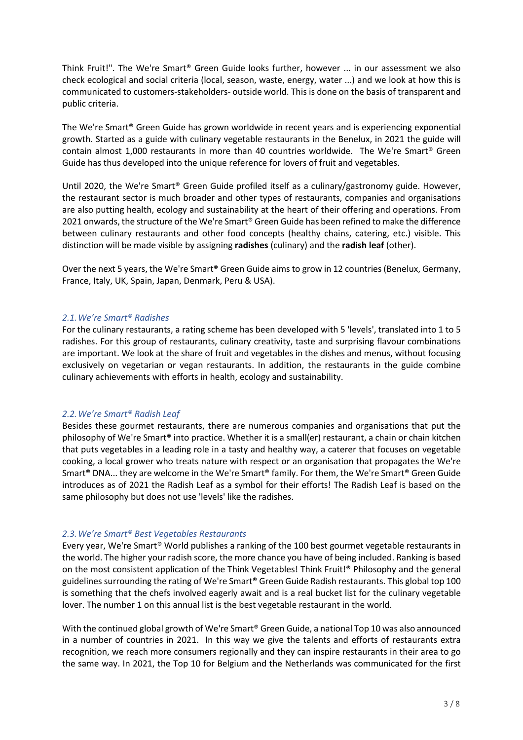Think Fruit!". The We're Smart® Green Guide looks further, however ... in our assessment we also check ecological and social criteria (local, season, waste, energy, water ...) and we look at how this is communicated to customers-stakeholders- outside world. This is done on the basis of transparent and public criteria.

The We're Smart® Green Guide has grown worldwide in recent years and is experiencing exponential growth. Started as a guide with culinary vegetable restaurants in the Benelux, in 2021 the guide will contain almost 1,000 restaurants in more than 40 countries worldwide. The We're Smart® Green Guide has thus developed into the unique reference for lovers of fruit and vegetables.

Until 2020, the We're Smart® Green Guide profiled itself as a culinary/gastronomy guide. However, the restaurant sector is much broader and other types of restaurants, companies and organisations are also putting health, ecology and sustainability at the heart of their offering and operations. From 2021 onwards, the structure of the We're Smart® Green Guide has been refined to make the difference between culinary restaurants and other food concepts (healthy chains, catering, etc.) visible. This distinction will be made visible by assigning **radishes** (culinary) and the **radish leaf** (other).

Over the next 5 years, the We're Smart® Green Guide aims to grow in 12 countries (Benelux, Germany, France, Italy, UK, Spain, Japan, Denmark, Peru & USA).

#### *2.1.We're Smart® Radishes*

For the culinary restaurants, a rating scheme has been developed with 5 'levels', translated into 1 to 5 radishes. For this group of restaurants, culinary creativity, taste and surprising flavour combinations are important. We look at the share of fruit and vegetables in the dishes and menus, without focusing exclusively on vegetarian or vegan restaurants. In addition, the restaurants in the guide combine culinary achievements with efforts in health, ecology and sustainability.

# *2.2.We're Smart® Radish Leaf*

Besides these gourmet restaurants, there are numerous companies and organisations that put the philosophy of We're Smart® into practice. Whether it is a small(er) restaurant, a chain or chain kitchen that puts vegetables in a leading role in a tasty and healthy way, a caterer that focuses on vegetable cooking, a local grower who treats nature with respect or an organisation that propagates the We're Smart® DNA... they are welcome in the We're Smart® family. For them, the We're Smart® Green Guide introduces as of 2021 the Radish Leaf as a symbol for their efforts! The Radish Leaf is based on the same philosophy but does not use 'levels' like the radishes.

#### *2.3.We're Smart® Best Vegetables Restaurants*

Every year, We're Smart® World publishes a ranking of the 100 best gourmet vegetable restaurants in the world. The higher your radish score, the more chance you have of being included. Ranking is based on the most consistent application of the Think Vegetables! Think Fruit!® Philosophy and the general guidelines surrounding the rating of We're Smart® Green Guide Radish restaurants. This global top 100 is something that the chefs involved eagerly await and is a real bucket list for the culinary vegetable lover. The number 1 on this annual list is the best vegetable restaurant in the world.

With the continued global growth of We're Smart® Green Guide, a national Top 10 was also announced in a number of countries in 2021. In this way we give the talents and efforts of restaurants extra recognition, we reach more consumers regionally and they can inspire restaurants in their area to go the same way. In 2021, the Top 10 for Belgium and the Netherlands was communicated for the first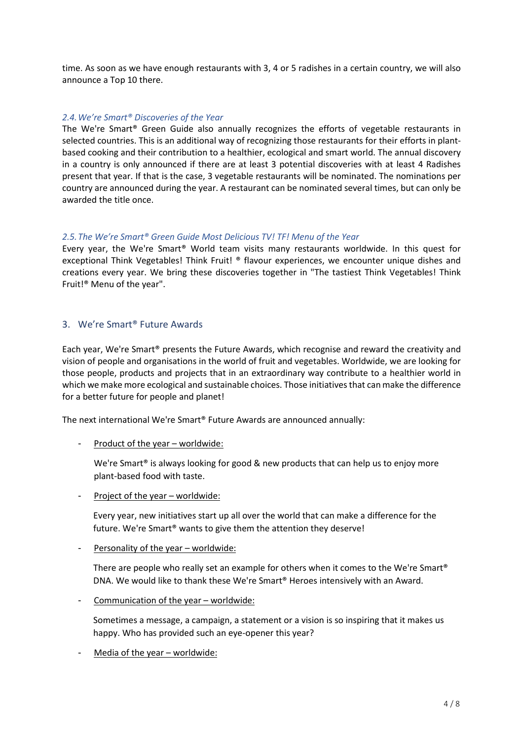time. As soon as we have enough restaurants with 3, 4 or 5 radishes in a certain country, we will also announce a Top 10 there.

## *2.4.We're Smart® Discoveries of the Year*

The We're Smart® Green Guide also annually recognizes the efforts of vegetable restaurants in selected countries. This is an additional way of recognizing those restaurants for their efforts in plantbased cooking and their contribution to a healthier, ecological and smart world. The annual discovery in a country is only announced if there are at least 3 potential discoveries with at least 4 Radishes present that year. If that is the case, 3 vegetable restaurants will be nominated. The nominations per country are announced during the year. A restaurant can be nominated several times, but can only be awarded the title once.

## *2.5.The We're Smart® Green Guide Most Delicious TV! TF! Menu of the Year*

Every year, the We're Smart® World team visits many restaurants worldwide. In this quest for exceptional Think Vegetables! Think Fruit! ® flavour experiences, we encounter unique dishes and creations every year. We bring these discoveries together in "The tastiest Think Vegetables! Think Fruit!® Menu of the year".

# 3. We're Smart® Future Awards

Each year, We're Smart® presents the Future Awards, which recognise and reward the creativity and vision of people and organisations in the world of fruit and vegetables. Worldwide, we are looking for those people, products and projects that in an extraordinary way contribute to a healthier world in which we make more ecological and sustainable choices. Those initiativesthat can make the difference for a better future for people and planet!

The next international We're Smart® Future Awards are announced annually:

Product of the year – worldwide:

We're Smart<sup>®</sup> is always looking for good & new products that can help us to enjoy more plant-based food with taste.

- Project of the year – worldwide:

Every year, new initiatives start up all over the world that can make a difference for the future. We're Smart® wants to give them the attention they deserve!

- Personality of the year – worldwide:

There are people who really set an example for others when it comes to the We're Smart® DNA. We would like to thank these We're Smart® Heroes intensively with an Award.

- Communication of the year – worldwide:

Sometimes a message, a campaign, a statement or a vision is so inspiring that it makes us happy. Who has provided such an eye-opener this year?

Media of the year – worldwide: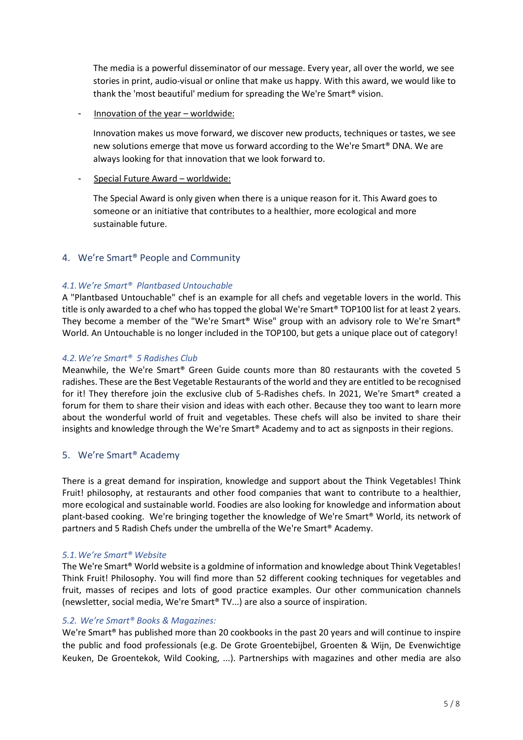The media is a powerful disseminator of our message. Every year, all over the world, we see stories in print, audio-visual or online that make us happy. With this award, we would like to thank the 'most beautiful' medium for spreading the We're Smart® vision.

Innovation of the year - worldwide:

Innovation makes us move forward, we discover new products, techniques or tastes, we see new solutions emerge that move us forward according to the We're Smart® DNA. We are always looking for that innovation that we look forward to.

# - Special Future Award – worldwide:

The Special Award is only given when there is a unique reason for it. This Award goes to someone or an initiative that contributes to a healthier, more ecological and more sustainable future.

# 4. We're Smart® People and Community

# *4.1.We're Smart® Plantbased Untouchable*

A "Plantbased Untouchable" chef is an example for all chefs and vegetable lovers in the world. This title is only awarded to a chef who hastopped the global We're Smart® TOP100 list for at least 2 years. They become a member of the "We're Smart® Wise" group with an advisory role to We're Smart® World. An Untouchable is no longer included in the TOP100, but gets a unique place out of category!

# *4.2.We're Smart® 5 Radishes Club*

Meanwhile, the We're Smart® Green Guide counts more than 80 restaurants with the coveted 5 radishes. These are the Best Vegetable Restaurants of the world and they are entitled to be recognised for it! They therefore join the exclusive club of 5-Radishes chefs. In 2021, We're Smart® created a forum for them to share their vision and ideas with each other. Because they too want to learn more about the wonderful world of fruit and vegetables. These chefs will also be invited to share their insights and knowledge through the We're Smart® Academy and to act as signposts in their regions.

# 5. We're Smart® Academy

There is a great demand for inspiration, knowledge and support about the Think Vegetables! Think Fruit! philosophy, at restaurants and other food companies that want to contribute to a healthier, more ecological and sustainable world. Foodies are also looking for knowledge and information about plant-based cooking. We're bringing together the knowledge of We're Smart® World, its network of partners and 5 Radish Chefs under the umbrella of the We're Smart® Academy.

# *5.1.We're Smart® Website*

The We're Smart® World website is a goldmine of information and knowledge about Think Vegetables! Think Fruit! Philosophy. You will find more than 52 different cooking techniques for vegetables and fruit, masses of recipes and lots of good practice examples. Our other communication channels (newsletter, social media, We're Smart® TV...) are also a source of inspiration.

# *5.2. We're Smart® Books & Magazines:*

We're Smart<sup>®</sup> has published more than 20 cookbooks in the past 20 years and will continue to inspire the public and food professionals (e.g. De Grote Groentebijbel, Groenten & Wijn, De Evenwichtige Keuken, De Groentekok, Wild Cooking, ...). Partnerships with magazines and other media are also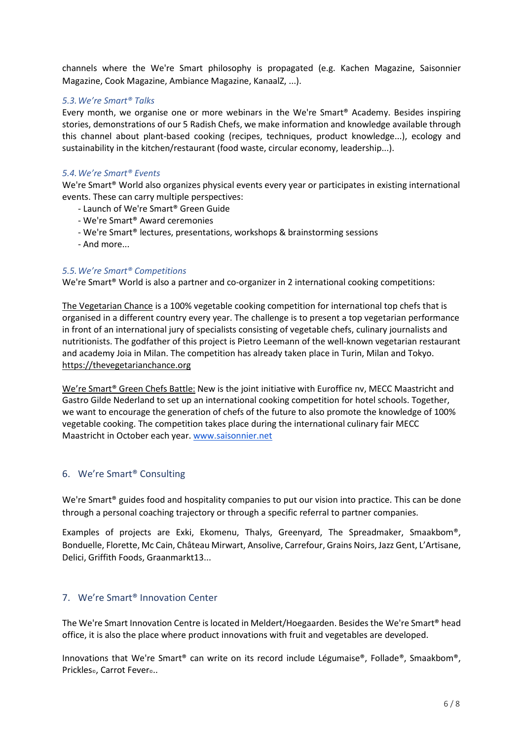channels where the We're Smart philosophy is propagated (e.g. Kachen Magazine, Saisonnier Magazine, Cook Magazine, Ambiance Magazine, KanaalZ, ...).

## *5.3.We're Smart® Talks*

Every month, we organise one or more webinars in the We're Smart® Academy. Besides inspiring stories, demonstrations of our 5 Radish Chefs, we make information and knowledge available through this channel about plant-based cooking (recipes, techniques, product knowledge...), ecology and sustainability in the kitchen/restaurant (food waste, circular economy, leadership...).

### *5.4.We're Smart® Events*

We're Smart® World also organizes physical events every year or participates in existing international events. These can carry multiple perspectives:

- Launch of We're Smart® Green Guide
- We're Smart® Award ceremonies
- We're Smart® lectures, presentations, workshops & brainstorming sessions
- And more...

## *5.5.We're Smart® Competitions*

We're Smart<sup>®</sup> World is also a partner and co-organizer in 2 international cooking competitions:

The Vegetarian Chance is a 100% vegetable cooking competition for international top chefs that is organised in a different country every year. The challenge is to present a top vegetarian performance in front of an international jury of specialists consisting of vegetable chefs, culinary journalists and nutritionists. The godfather of this project is Pietro Leemann of the well-known vegetarian restaurant and academy Joia in Milan. The competition has already taken place in Turin, Milan and Tokyo. [https://thevegetarianchance.org](https://thevegetarianchance.org/)

We're Smart<sup>®</sup> Green Chefs Battle: New is the joint initiative with Euroffice nv, MECC Maastricht and Gastro Gilde Nederland to set up an international cooking competition for hotel schools. Together, we want to encourage the generation of chefs of the future to also promote the knowledge of 100% vegetable cooking. The competition takes place during the international culinary fair MECC Maastricht in October each year. [www.saisonnier.net](http://www.saisonnier.net/)

# 6. We're Smart® Consulting

We're Smart<sup>®</sup> guides food and hospitality companies to put our vision into practice. This can be done through a personal coaching trajectory or through a specific referral to partner companies.

Examples of projects are Exki, Ekomenu, Thalys, Greenyard, The Spreadmaker, Smaakbom®, Bonduelle, Florette, Mc Cain, Château Mirwart, Ansolive, Carrefour, Grains Noirs, Jazz Gent, L'Artisane, Delici, Griffith Foods, Graanmarkt13...

# 7. We're Smart® Innovation Center

The We're Smart Innovation Centre is located in Meldert/Hoegaarden. Besides the We're Smart® head office, it is also the place where product innovations with fruit and vegetables are developed.

Innovations that We're Smart® can write on its record include Légumaise®, Follade®, Smaakbom®, Prickles., Carrot Fever...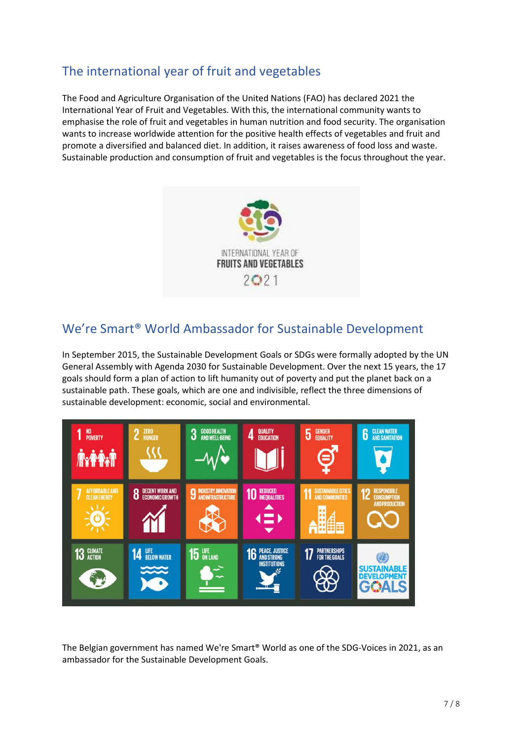# The international year of fruit and vegetables

The Food and Agriculture Organisation of the United Nations (FAO) has declared 2021 the International Year of Fruit and Vegetables. With this, the international community wants to emphasise the role of fruit and vegetables in human nutrition and food security. The organisation wants to increase worldwide attention for the positive health effects of vegetables and fruit and promote a diversified and balanced diet. In addition, it raises awareness of food loss and waste. Sustainable production and consumption of fruit and vegetables is the focus throughout the year.



# We're Smart® World Ambassador for Sustainable Development

In September 2015, the Sustainable Development Goals or SDGs were formally adopted by the UN General Assembly with Agenda 2030 for Sustainable Development. Over the next 15 years, the 17 goals should form a plan of action to lift humanity out of poverty and put the planet back on a sustainable path. These goals, which are one and indivisible, reflect the three dimensions of sustainable development: economic, social and environmental.



The Belgian government has named We're Smart® World as one of the SDG-Voices in 2021, as an ambassador for the Sustainable Development Goals.